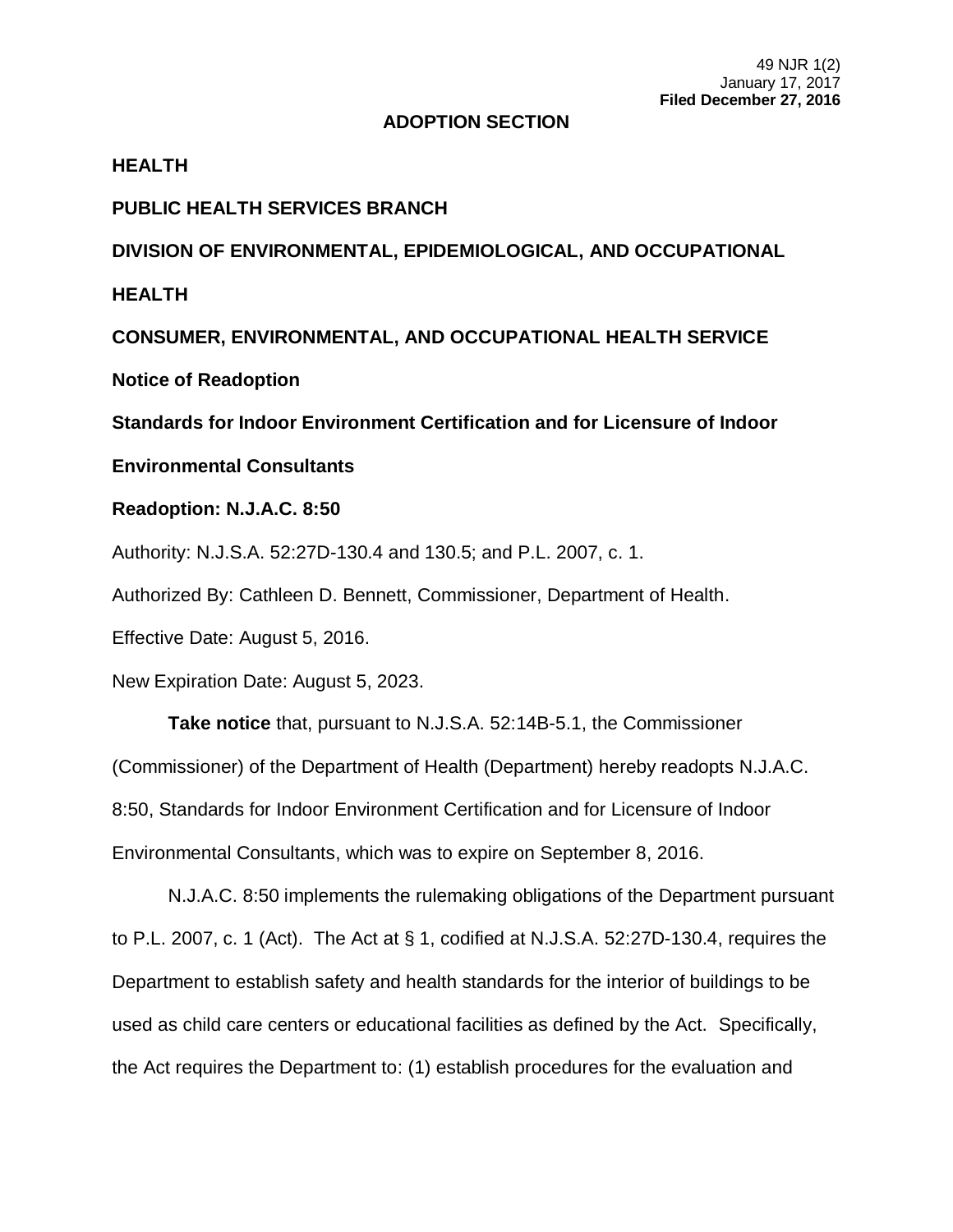### **ADOPTION SECTION**

### **HEALTH**

# **PUBLIC HEALTH SERVICES BRANCH**

**DIVISION OF ENVIRONMENTAL, EPIDEMIOLOGICAL, AND OCCUPATIONAL** 

**HEALTH**

**CONSUMER, ENVIRONMENTAL, AND OCCUPATIONAL HEALTH SERVICE**

**Notice of Readoption**

**Standards for Indoor Environment Certification and for Licensure of Indoor** 

## **Environmental Consultants**

## **Readoption: N.J.A.C. 8:50**

Authority: N.J.S.A. 52:27D-130.4 and 130.5; and P.L. 2007, c. 1.

Authorized By: Cathleen D. Bennett, Commissioner, Department of Health.

Effective Date: August 5, 2016.

New Expiration Date: August 5, 2023.

**Take notice** that, pursuant to N.J.S.A. 52:14B-5.1, the Commissioner (Commissioner) of the Department of Health (Department) hereby readopts N.J.A.C. 8:50, Standards for Indoor Environment Certification and for Licensure of Indoor Environmental Consultants, which was to expire on September 8, 2016.

N.J.A.C. 8:50 implements the rulemaking obligations of the Department pursuant to P.L. 2007, c. 1 (Act). The Act at § 1, codified at N.J.S.A. 52:27D-130.4, requires the Department to establish safety and health standards for the interior of buildings to be used as child care centers or educational facilities as defined by the Act. Specifically, the Act requires the Department to: (1) establish procedures for the evaluation and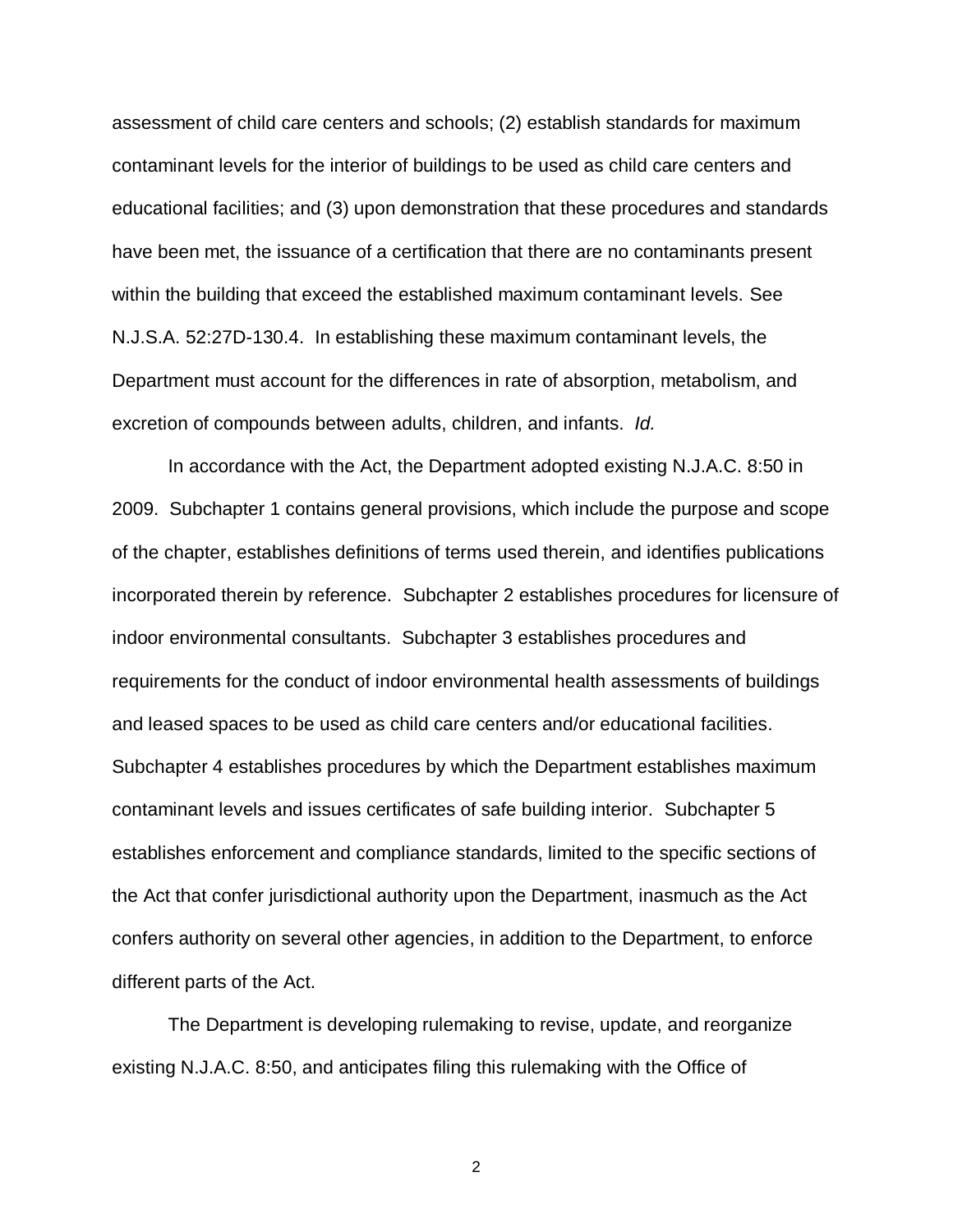assessment of child care centers and schools; (2) establish standards for maximum contaminant levels for the interior of buildings to be used as child care centers and educational facilities; and (3) upon demonstration that these procedures and standards have been met, the issuance of a certification that there are no contaminants present within the building that exceed the established maximum contaminant levels. See N.J.S.A. 52:27D-130.4. In establishing these maximum contaminant levels, the Department must account for the differences in rate of absorption, metabolism, and excretion of compounds between adults, children, and infants. *Id.*

In accordance with the Act, the Department adopted existing N.J.A.C. 8:50 in 2009. Subchapter 1 contains general provisions, which include the purpose and scope of the chapter, establishes definitions of terms used therein, and identifies publications incorporated therein by reference. Subchapter 2 establishes procedures for licensure of indoor environmental consultants. Subchapter 3 establishes procedures and requirements for the conduct of indoor environmental health assessments of buildings and leased spaces to be used as child care centers and/or educational facilities. Subchapter 4 establishes procedures by which the Department establishes maximum contaminant levels and issues certificates of safe building interior. Subchapter 5 establishes enforcement and compliance standards, limited to the specific sections of the Act that confer jurisdictional authority upon the Department, inasmuch as the Act confers authority on several other agencies, in addition to the Department, to enforce different parts of the Act.

The Department is developing rulemaking to revise, update, and reorganize existing N.J.A.C. 8:50, and anticipates filing this rulemaking with the Office of

2